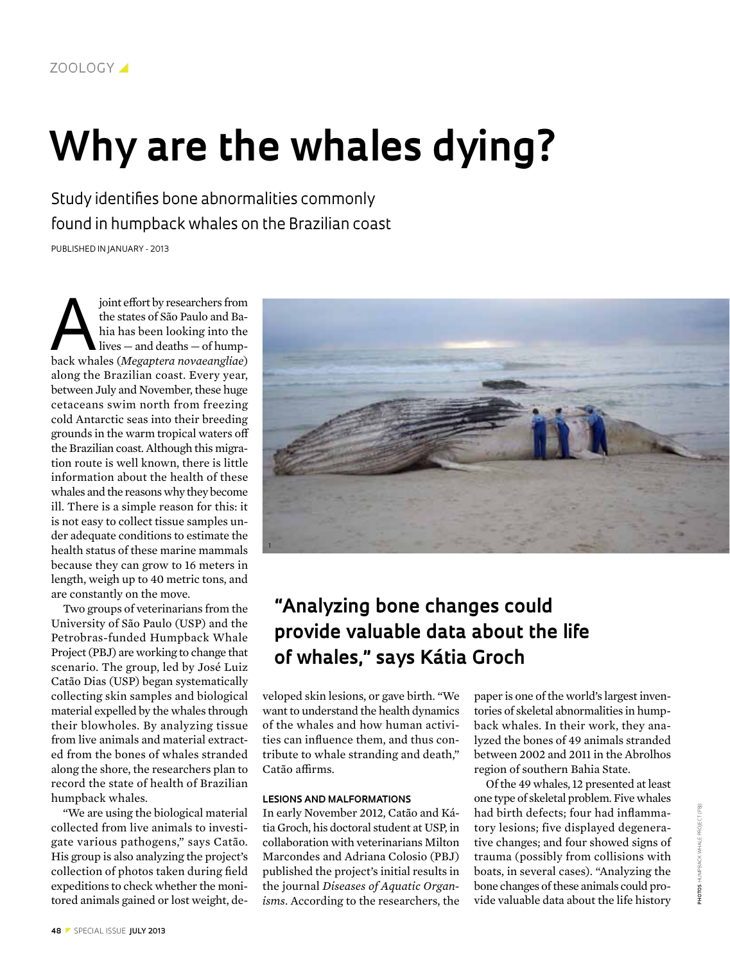# **Why are the whales dying?**

Study identifies bone abnormalities commonly found in humpback whales on the Brazilian coast

Published in January - 2013

joint effort by researchers from<br>the states of São Paulo and Ba-<br>hia has been looking into the<br>lives — and deaths — of hump-<br>hack whales (Megantera noveganglice) the states of São Paulo and Bahia has been looking into the lives — and deaths — of humpback whales (*Megaptera novaeangliae*) along the Brazilian coast. Every year, between July and November, these huge cetaceans swim north from freezing cold Antarctic seas into their breeding grounds in the warm tropical waters off the Brazilian coast. Although this migration route is well known, there is little information about the health of these whales and the reasons why they become ill. There is a simple reason for this: it is not easy to collect tissue samples under adequate conditions to estimate the health status of these marine mammals because they can grow to 16 meters in length, weigh up to 40 metric tons, and are constantly on the move.

Two groups of veterinarians from the University of São Paulo (USP) and the Petrobras-funded Humpback Whale Project (PBJ) are working to change that scenario. The group, led by José Luiz Catão Dias (USP) began systematically collecting skin samples and biological material expelled by the whales through their blowholes. By analyzing tissue from live animals and material extracted from the bones of whales stranded along the shore, the researchers plan to record the state of health of Brazilian humpback whales.

"We are using the biological material collected from live animals to investigate various pathogens," says Catão. His group is also analyzing the project's collection of photos taken during field expeditions to check whether the monitored animals gained or lost weight, de-



# **"Analyzing bone changes could provide valuable data about the life of whales," says Kátia Groch**

veloped skin lesions, or gave birth. "We want to understand the health dynamics of the whales and how human activities can influence them, and thus contribute to whale stranding and death," Catão affirms.

## **LESIONS AND MALFORMATIONS**

In early November 2012, Catão and Kátia Groch, his doctoral student at USP, in collaboration with veterinarians Milton Marcondes and Adriana Colosio (PBJ) published the project's initial results in the journal *Diseases of Aquatic Organisms*. According to the researchers, the

paper is one of the world's largest inventories of skeletal abnormalities in humpback whales. In their work, they analyzed the bones of 49 animals stranded between 2002 and 2011 in the Abrolhos region of southern Bahia State.

Of the 49 whales, 12 presented at least one type of skeletal problem. Five whales had birth defects; four had inflammatory lesions; five displayed degenerative changes; and four showed signs of trauma (possibly from collisions with boats, in several cases). "Analyzing the bone changes of these animals could provide valuable data about the life history